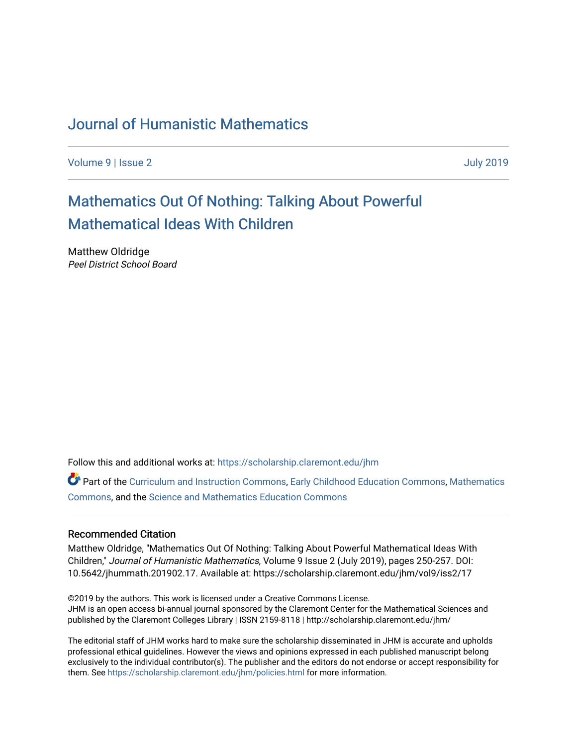## [Journal of Humanistic Mathematics](https://scholarship.claremont.edu/jhm)

[Volume 9](https://scholarship.claremont.edu/jhm/vol9) | [Issue 2](https://scholarship.claremont.edu/jhm/vol9/iss2) [July 2019](https://scholarship.claremont.edu/jhm/vol9/iss2) 

# [Mathematics Out Of Nothing: Talking About Powerful](https://scholarship.claremont.edu/jhm/vol9/iss2/17) [Mathematical Ideas With Children](https://scholarship.claremont.edu/jhm/vol9/iss2/17)

Matthew Oldridge Peel District School Board

Follow this and additional works at: [https://scholarship.claremont.edu/jhm](https://scholarship.claremont.edu/jhm?utm_source=scholarship.claremont.edu%2Fjhm%2Fvol9%2Fiss2%2F17&utm_medium=PDF&utm_campaign=PDFCoverPages)

Part of the [Curriculum and Instruction Commons,](http://network.bepress.com/hgg/discipline/786?utm_source=scholarship.claremont.edu%2Fjhm%2Fvol9%2Fiss2%2F17&utm_medium=PDF&utm_campaign=PDFCoverPages) [Early Childhood Education Commons,](http://network.bepress.com/hgg/discipline/1377?utm_source=scholarship.claremont.edu%2Fjhm%2Fvol9%2Fiss2%2F17&utm_medium=PDF&utm_campaign=PDFCoverPages) [Mathematics](http://network.bepress.com/hgg/discipline/174?utm_source=scholarship.claremont.edu%2Fjhm%2Fvol9%2Fiss2%2F17&utm_medium=PDF&utm_campaign=PDFCoverPages)  [Commons](http://network.bepress.com/hgg/discipline/174?utm_source=scholarship.claremont.edu%2Fjhm%2Fvol9%2Fiss2%2F17&utm_medium=PDF&utm_campaign=PDFCoverPages), and the [Science and Mathematics Education Commons](http://network.bepress.com/hgg/discipline/800?utm_source=scholarship.claremont.edu%2Fjhm%2Fvol9%2Fiss2%2F17&utm_medium=PDF&utm_campaign=PDFCoverPages) 

#### Recommended Citation

Matthew Oldridge, "Mathematics Out Of Nothing: Talking About Powerful Mathematical Ideas With Children," Journal of Humanistic Mathematics, Volume 9 Issue 2 (July 2019), pages 250-257. DOI: 10.5642/jhummath.201902.17. Available at: https://scholarship.claremont.edu/jhm/vol9/iss2/17

©2019 by the authors. This work is licensed under a Creative Commons License. JHM is an open access bi-annual journal sponsored by the Claremont Center for the Mathematical Sciences and published by the Claremont Colleges Library | ISSN 2159-8118 | http://scholarship.claremont.edu/jhm/

The editorial staff of JHM works hard to make sure the scholarship disseminated in JHM is accurate and upholds professional ethical guidelines. However the views and opinions expressed in each published manuscript belong exclusively to the individual contributor(s). The publisher and the editors do not endorse or accept responsibility for them. See<https://scholarship.claremont.edu/jhm/policies.html> for more information.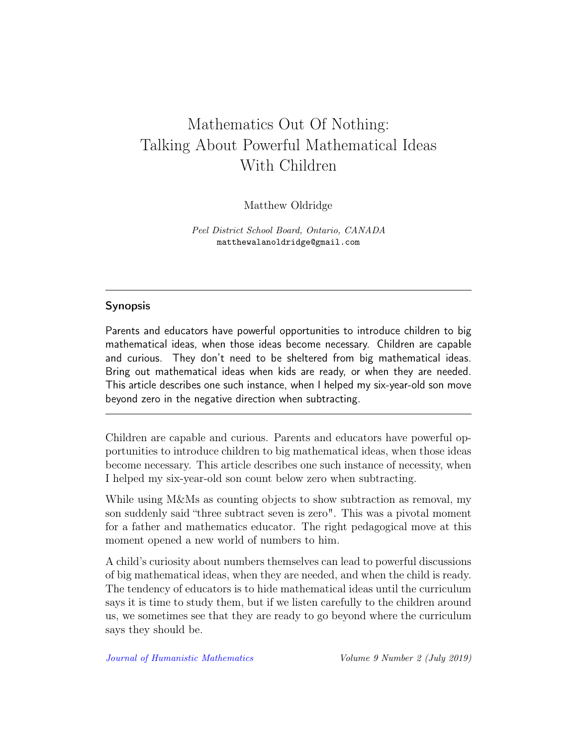# Mathematics Out Of Nothing: Talking About Powerful Mathematical Ideas With Children

Matthew Oldridge

Peel District School Board, Ontario, CANADA matthewalanoldridge@gmail.com

#### Synopsis

Parents and educators have powerful opportunities to introduce children to big mathematical ideas, when those ideas become necessary. Children are capable and curious. They don't need to be sheltered from big mathematical ideas. Bring out mathematical ideas when kids are ready, or when they are needed. This article describes one such instance, when I helped my six-year-old son move beyond zero in the negative direction when subtracting.

Children are capable and curious. Parents and educators have powerful opportunities to introduce children to big mathematical ideas, when those ideas become necessary. This article describes one such instance of necessity, when I helped my six-year-old son count below zero when subtracting.

While using M&Ms as counting objects to show subtraction as removal, my son suddenly said "three subtract seven is zero". This was a pivotal moment for a father and mathematics educator. The right pedagogical move at this moment opened a new world of numbers to him.

A child's curiosity about numbers themselves can lead to powerful discussions of big mathematical ideas, when they are needed, and when the child is ready. The tendency of educators is to hide mathematical ideas until the curriculum says it is time to study them, but if we listen carefully to the children around us, we sometimes see that they are ready to go beyond where the curriculum says they should be.

[Journal of Humanistic Mathematics](http://scholarship.claremont.edu/jhm/) Volume 9 Number 2 (July 2019)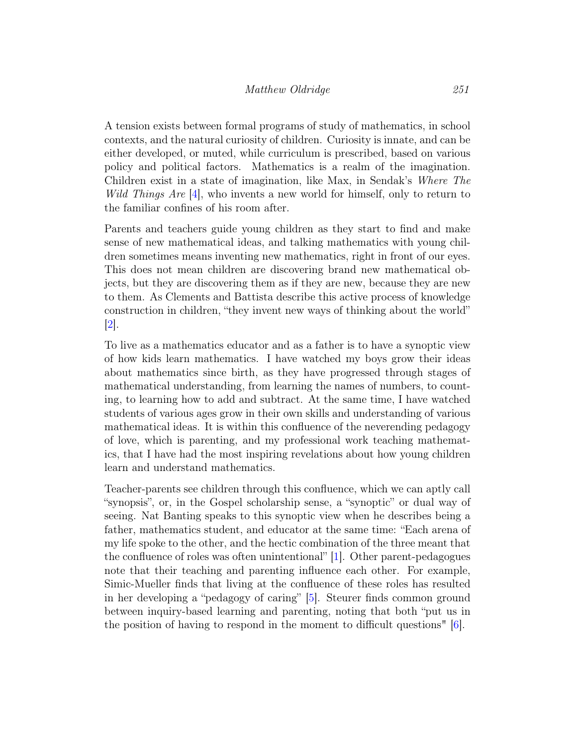A tension exists between formal programs of study of mathematics, in school contexts, and the natural curiosity of children. Curiosity is innate, and can be either developed, or muted, while curriculum is prescribed, based on various policy and political factors. Mathematics is a realm of the imagination. Children exist in a state of imagination, like Max, in Sendak's Where The *Wild Things Are*  $\left[4\right]$ , who invents a new world for himself, only to return to the familiar confines of his room after.

Parents and teachers guide young children as they start to find and make sense of new mathematical ideas, and talking mathematics with young children sometimes means inventing new mathematics, right in front of our eyes. This does not mean children are discovering brand new mathematical objects, but they are discovering them as if they are new, because they are new to them. As Clements and Battista describe this active process of knowledge construction in children, "they invent new ways of thinking about the world" [\[2\]](#page-8-1).

To live as a mathematics educator and as a father is to have a synoptic view of how kids learn mathematics. I have watched my boys grow their ideas about mathematics since birth, as they have progressed through stages of mathematical understanding, from learning the names of numbers, to counting, to learning how to add and subtract. At the same time, I have watched students of various ages grow in their own skills and understanding of various mathematical ideas. It is within this confluence of the neverending pedagogy of love, which is parenting, and my professional work teaching mathematics, that I have had the most inspiring revelations about how young children learn and understand mathematics.

Teacher-parents see children through this confluence, which we can aptly call "synopsis", or, in the Gospel scholarship sense, a "synoptic" or dual way of seeing. Nat Banting speaks to this synoptic view when he describes being a father, mathematics student, and educator at the same time: "Each arena of my life spoke to the other, and the hectic combination of the three meant that the confluence of roles was often unintentional" [\[1\]](#page-8-2). Other parent-pedagogues note that their teaching and parenting influence each other. For example, Simic-Mueller finds that living at the confluence of these roles has resulted in her developing a "pedagogy of caring" [\[5\]](#page-8-3). Steurer finds common ground between inquiry-based learning and parenting, noting that both "put us in the position of having to respond in the moment to difficult questions" [\[6\]](#page-8-4).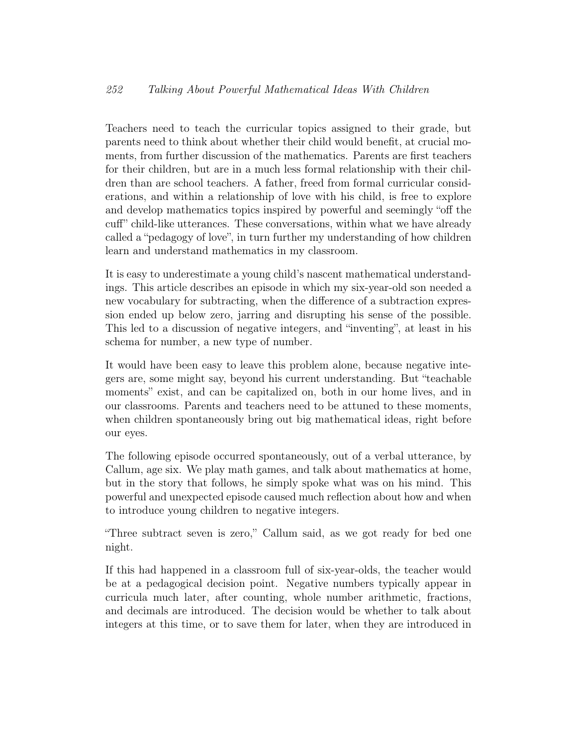### 252 Talking About Powerful Mathematical Ideas With Children

Teachers need to teach the curricular topics assigned to their grade, but parents need to think about whether their child would benefit, at crucial moments, from further discussion of the mathematics. Parents are first teachers for their children, but are in a much less formal relationship with their children than are school teachers. A father, freed from formal curricular considerations, and within a relationship of love with his child, is free to explore and develop mathematics topics inspired by powerful and seemingly "off the cuff" child-like utterances. These conversations, within what we have already called a "pedagogy of love", in turn further my understanding of how children learn and understand mathematics in my classroom.

It is easy to underestimate a young child's nascent mathematical understandings. This article describes an episode in which my six-year-old son needed a new vocabulary for subtracting, when the difference of a subtraction expression ended up below zero, jarring and disrupting his sense of the possible. This led to a discussion of negative integers, and "inventing", at least in his schema for number, a new type of number.

It would have been easy to leave this problem alone, because negative integers are, some might say, beyond his current understanding. But "teachable moments" exist, and can be capitalized on, both in our home lives, and in our classrooms. Parents and teachers need to be attuned to these moments, when children spontaneously bring out big mathematical ideas, right before our eyes.

The following episode occurred spontaneously, out of a verbal utterance, by Callum, age six. We play math games, and talk about mathematics at home, but in the story that follows, he simply spoke what was on his mind. This powerful and unexpected episode caused much reflection about how and when to introduce young children to negative integers.

"Three subtract seven is zero," Callum said, as we got ready for bed one night.

If this had happened in a classroom full of six-year-olds, the teacher would be at a pedagogical decision point. Negative numbers typically appear in curricula much later, after counting, whole number arithmetic, fractions, and decimals are introduced. The decision would be whether to talk about integers at this time, or to save them for later, when they are introduced in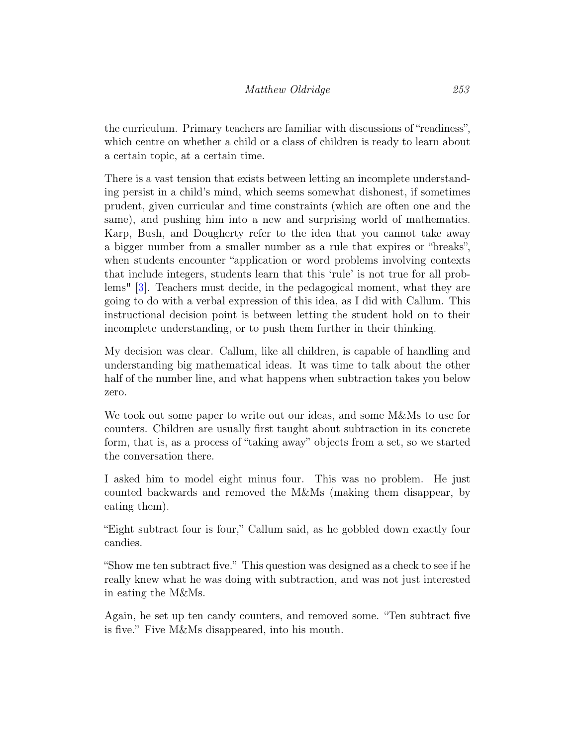the curriculum. Primary teachers are familiar with discussions of "readiness", which centre on whether a child or a class of children is ready to learn about a certain topic, at a certain time.

There is a vast tension that exists between letting an incomplete understanding persist in a child's mind, which seems somewhat dishonest, if sometimes prudent, given curricular and time constraints (which are often one and the same), and pushing him into a new and surprising world of mathematics. Karp, Bush, and Dougherty refer to the idea that you cannot take away a bigger number from a smaller number as a rule that expires or "breaks", when students encounter "application or word problems involving contexts that include integers, students learn that this 'rule' is not true for all problems" [\[3\]](#page-8-5). Teachers must decide, in the pedagogical moment, what they are going to do with a verbal expression of this idea, as I did with Callum. This instructional decision point is between letting the student hold on to their incomplete understanding, or to push them further in their thinking.

My decision was clear. Callum, like all children, is capable of handling and understanding big mathematical ideas. It was time to talk about the other half of the number line, and what happens when subtraction takes you below zero.

We took out some paper to write out our ideas, and some M&Ms to use for counters. Children are usually first taught about subtraction in its concrete form, that is, as a process of "taking away" objects from a set, so we started the conversation there.

I asked him to model eight minus four. This was no problem. He just counted backwards and removed the M&Ms (making them disappear, by eating them).

"Eight subtract four is four," Callum said, as he gobbled down exactly four candies.

"Show me ten subtract five." This question was designed as a check to see if he really knew what he was doing with subtraction, and was not just interested in eating the M&Ms.

Again, he set up ten candy counters, and removed some. "Ten subtract five is five." Five M&Ms disappeared, into his mouth.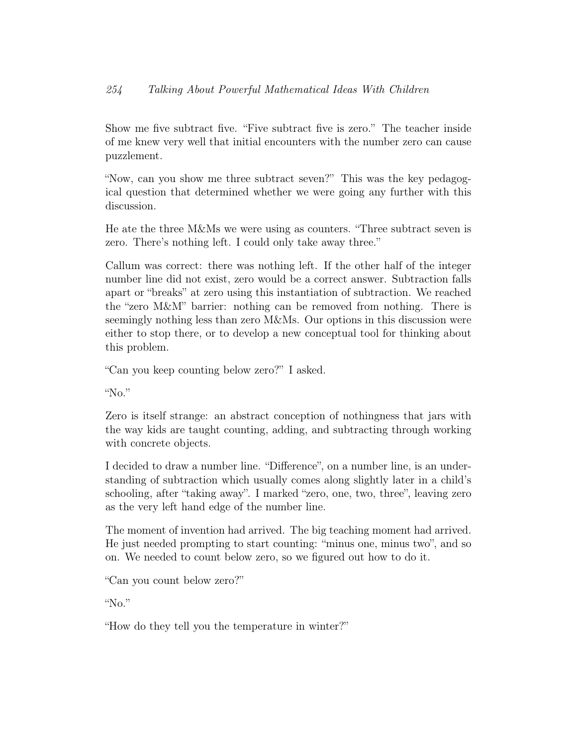### 254 Talking About Powerful Mathematical Ideas With Children

Show me five subtract five. "Five subtract five is zero." The teacher inside of me knew very well that initial encounters with the number zero can cause puzzlement.

"Now, can you show me three subtract seven?" This was the key pedagogical question that determined whether we were going any further with this discussion.

He ate the three M&Ms we were using as counters. "Three subtract seven is zero. There's nothing left. I could only take away three."

Callum was correct: there was nothing left. If the other half of the integer number line did not exist, zero would be a correct answer. Subtraction falls apart or "breaks" at zero using this instantiation of subtraction. We reached the "zero M&M" barrier: nothing can be removed from nothing. There is seemingly nothing less than zero M&Ms. Our options in this discussion were either to stop there, or to develop a new conceptual tool for thinking about this problem.

"Can you keep counting below zero?" I asked.

"No."

Zero is itself strange: an abstract conception of nothingness that jars with the way kids are taught counting, adding, and subtracting through working with concrete objects.

I decided to draw a number line. "Difference", on a number line, is an understanding of subtraction which usually comes along slightly later in a child's schooling, after "taking away". I marked "zero, one, two, three", leaving zero as the very left hand edge of the number line.

The moment of invention had arrived. The big teaching moment had arrived. He just needed prompting to start counting: "minus one, minus two", and so on. We needed to count below zero, so we figured out how to do it.

"Can you count below zero?"

"No."

"How do they tell you the temperature in winter?"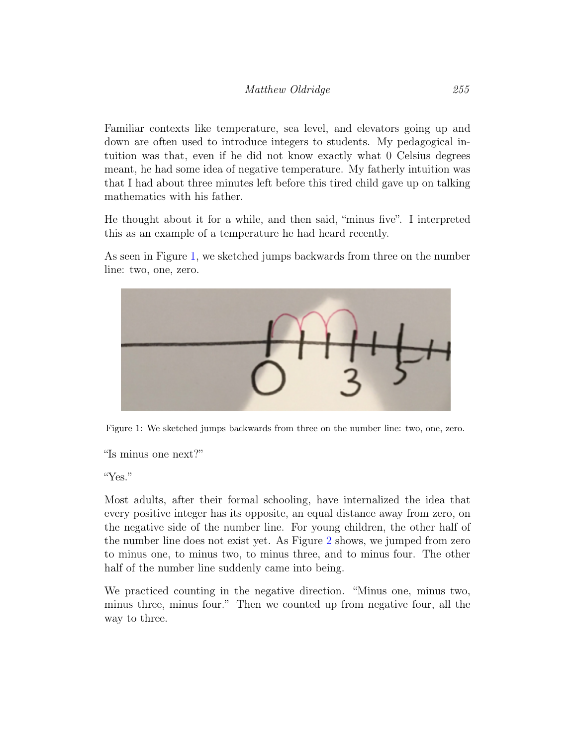Familiar contexts like temperature, sea level, and elevators going up and down are often used to introduce integers to students. My pedagogical intuition was that, even if he did not know exactly what 0 Celsius degrees meant, he had some idea of negative temperature. My fatherly intuition was that I had about three minutes left before this tired child gave up on talking mathematics with his father.

He thought about it for a while, and then said, "minus five". I interpreted this as an example of a temperature he had heard recently.

As seen in Figure [1,](#page-6-0) we sketched jumps backwards from three on the number line: two, one, zero.



Figure 1: We sketched jumps backwards from three on the number line: two, one, zero.

<span id="page-6-0"></span>"Is minus one next?"

"Yes."

Most adults, after their formal schooling, have internalized the idea that every positive integer has its opposite, an equal distance away from zero, on the negative side of the number line. For young children, the other half of the number line does not exist yet. As Figure [2](#page-7-0) shows, we jumped from zero to minus one, to minus two, to minus three, and to minus four. The other half of the number line suddenly came into being.

We practiced counting in the negative direction. "Minus one, minus two, minus three, minus four." Then we counted up from negative four, all the way to three.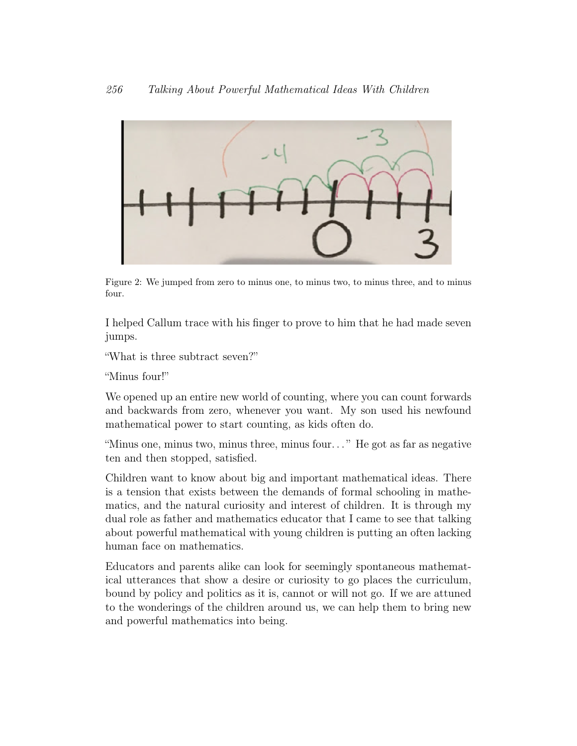

<span id="page-7-0"></span>Figure 2: We jumped from zero to minus one, to minus two, to minus three, and to minus four.

I helped Callum trace with his finger to prove to him that he had made seven jumps.

"What is three subtract seven?"

"Minus four!"

We opened up an entire new world of counting, where you can count forwards and backwards from zero, whenever you want. My son used his newfound mathematical power to start counting, as kids often do.

"Minus one, minus two, minus three, minus four. . . " He got as far as negative ten and then stopped, satisfied.

Children want to know about big and important mathematical ideas. There is a tension that exists between the demands of formal schooling in mathematics, and the natural curiosity and interest of children. It is through my dual role as father and mathematics educator that I came to see that talking about powerful mathematical with young children is putting an often lacking human face on mathematics.

Educators and parents alike can look for seemingly spontaneous mathematical utterances that show a desire or curiosity to go places the curriculum, bound by policy and politics as it is, cannot or will not go. If we are attuned to the wonderings of the children around us, we can help them to bring new and powerful mathematics into being.